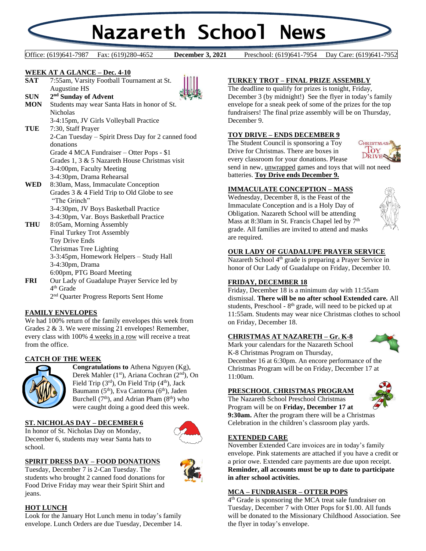# **Nazareth School News**

Office: (619)641-7987 Fax: (619)280-4652 **December 3, 2021** Preschool: (619)641-7954 Day Care: (619)641-7952

December 3, 2021

#### **WEEK AT A GLANCE – Dec. 4-10**

**SAT** 7:55am, Varsity Football Tournament at St. Augustine HS



**SUN 2 nd Sunday of Advent MON** Students may wear Santa Hats in honor of St. Nicholas

3-4:15pm, JV Girls Volleyball Practice

- **TUE** 7:30, Staff Prayer 2-Can Tuesday – Spirit Dress Day for 2 canned food donations Grade 4 MCA Fundraiser – Otter Pops - \$1 Grades 1, 3 & 5 Nazareth House Christmas visit 3-4:00pm, Faculty Meeting 3-4:30pm, Drama Rehearsal **WED** 8:30am, Mass, Immaculate Conception Grades 3 & 4 Field Trip to Old Globe to see
- "The Grinch" 3-4:30pm, JV Boys Basketball Practice 3-4:30pm, Var. Boys Basketball Practice
- **THU** 8:05am, Morning Assembly Final Turkey Trot Assembly Toy Drive Ends Christmas Tree Lighting 3-3:45pm, Homework Helpers – Study Hall 3-4:30pm, Drama 6:00pm, PTG Board Meeting **FRI** Our Lady of Guadalupe Prayer Service led by 4 th Grade

2<sup>nd</sup> Quarter Progress Reports Sent Home

# **FAMILY ENVELOPES**

We had 100% return of the family envelopes this week from Grades 2 & 3. We were missing 21 envelopes! Remember, every class with 100% 4 weeks in a row will receive a treat from the office.

# **CATCH OF THE WEEK**



**Congratulations to** Athena Nguyen (Kg), Derek Mahler (1<sup>st</sup>), Ariana Cochran (2<sup>nd</sup>), On Field Trip  $(3<sup>rd</sup>)$ , On Field Trip  $(4<sup>th</sup>)$ , Jack Baumann ( $5<sup>th</sup>$ ), Eva Cantorna ( $6<sup>th</sup>$ ), Jaden Burchell  $(7<sup>th</sup>)$ , and Adrian Pham  $(8<sup>th</sup>)$  who were caught doing a good deed this week.

# **ST. NICHOLAS DAY – DECEMBER 6**

In honor of St. Nicholas Day on Monday, December 6, students may wear Santa hats to school.



# **SPIRIT DRESS DAY – FOOD DONATIONS**

Tuesday, December 7 is 2-Can Tuesday. The students who brought 2 canned food donations for Food Drive Friday may wear their Spirit Shirt and jeans.

#### **HOT LUNCH**

Look for the January Hot Lunch menu in today's family envelope. Lunch Orders are due Tuesday, December 14.

# **TURKEY TROT – FINAL PRIZE ASSEMBLY**

The deadline to qualify for prizes is tonight, Friday, December 3 (by midnight!) See the flyer in today's family envelope for a sneak peek of some of the prizes for the top fundraisers! The final prize assembly will be on Thursday, December 9.

#### **TOY DRIVE – ENDS DECEMBER 9**

The Student Council is sponsoring a Toy Drive for Christmas. There are boxes in every classroom for your donations. Please



send in new, unwrapped games and toys that will not need batteries. **Toy Drive ends December 9.**

#### **IMMACULATE CONCEPTION – MASS**

Wednesday, December 8, is the Feast of the Immaculate Conception and is a Holy Day of Obligation. Nazareth School will be attending Mass at 8:30am in St. Francis Chapel led by 7<sup>th</sup> grade. All families are invited to attend and masks are required.



# **OUR LADY OF GUADALUPE PRAYER SERVICE**

Nazareth School 4<sup>th</sup> grade is preparing a Prayer Service in honor of Our Lady of Guadalupe on Friday, December 10.

#### **FRIDAY, DECEMBER 18**

Friday, December 18 is a minimum day with 11:55am dismissal. **There will be no after school Extended care.** All students, Preschool -  $8<sup>th</sup>$  grade, will need to be picked up at 11:55am. Students may wear nice Christmas clothes to school on Friday, December 18.

# **CHRISTMAS AT NAZARETH – Gr. K-8**



Mark your calendars for the Nazareth School K-8 Christmas Program on Thursday, December 16 at 6:30pm. An encore performance of the Christmas Program will be on Friday, December 17 at 11:00am.

# **PRESCHOOL CHRISTMAS PROGRAM**

The Nazareth School Preschool Christmas Program will be on **Friday, December 17 at** 



**9:30am.** After the program there will be a Christmas Celebration in the children's classroom play yards.

#### **EXTENDED CARE**

November Extended Care invoices are in today's family envelope. Pink statements are attached if you have a credit or a prior owe. Extended care payments are due upon receipt. **Reminder, all accounts must be up to date to participate in after school activities.**

# **MCA – FUNDRAISER – OTTER POPS**

4 th Grade is sponsoring the MCA treat sale fundraiser on Tuesday, December 7 with Otter Pops for \$1.00. All funds will be donated to the Missionary Childhood Association. See the flyer in today's envelope.